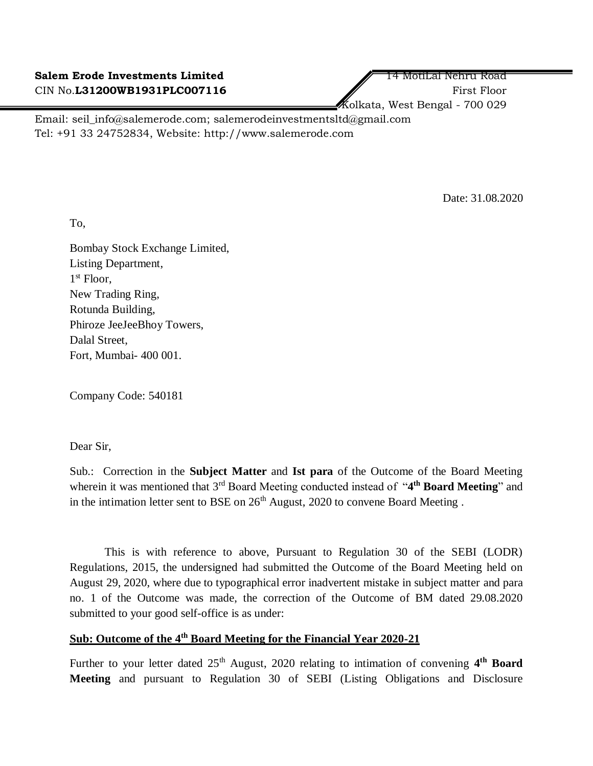Kolkata, West Bengal - 700 029

Email: seil\_info@salemerode.com; salemerodeinvestmentsltd@gmail.com Tel: +91 33 24752834, Website: http://www.salemerode.com

Date: 31.08.2020

To,

Bombay Stock Exchange Limited, Listing Department, 1 st Floor, New Trading Ring, Rotunda Building, Phiroze JeeJeeBhoy Towers, Dalal Street, Fort, Mumbai- 400 001.

Company Code: 540181

Dear Sir,

Sub.: Correction in the **Subject Matter** and **Ist para** of the Outcome of the Board Meeting wherein it was mentioned that 3<sup>rd</sup> Board Meeting conducted instead of "4<sup>th</sup> Board Meeting" and in the intimation letter sent to BSE on  $26<sup>th</sup>$  August, 2020 to convene Board Meeting.

This is with reference to above, Pursuant to Regulation 30 of the SEBI (LODR) Regulations, 2015, the undersigned had submitted the Outcome of the Board Meeting held on August 29, 2020, where due to typographical error inadvertent mistake in subject matter and para no. 1 of the Outcome was made, the correction of the Outcome of BM dated 29.08.2020 submitted to your good self-office is as under:

## **Sub: Outcome of the 4th Board Meeting for the Financial Year 2020-21**

Further to your letter dated 25<sup>th</sup> August, 2020 relating to intimation of convening 4<sup>th</sup> Board **Meeting** and pursuant to Regulation 30 of SEBI (Listing Obligations and Disclosure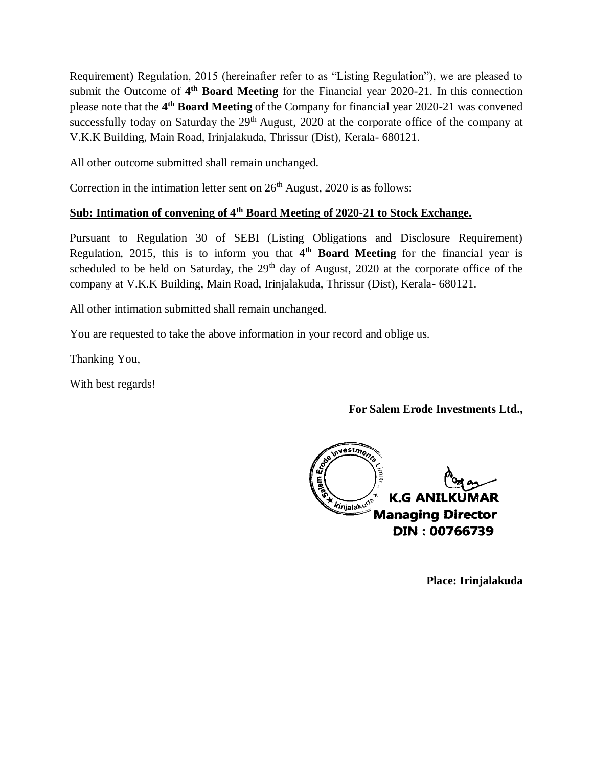Requirement) Regulation, 2015 (hereinafter refer to as "Listing Regulation"), we are pleased to submit the Outcome of 4<sup>th</sup> Board Meeting for the Financial year 2020-21. In this connection please note that the **4 th Board Meeting** of the Company for financial year 2020-21 was convened successfully today on Saturday the  $29<sup>th</sup>$  August, 2020 at the corporate office of the company at V.K.K Building, Main Road, Irinjalakuda, Thrissur (Dist), Kerala- 680121.

All other outcome submitted shall remain unchanged.

Correction in the intimation letter sent on  $26<sup>th</sup>$  August, 2020 is as follows:

## **Sub: Intimation of convening of 4th Board Meeting of 2020-21 to Stock Exchange.**

Pursuant to Regulation 30 of SEBI (Listing Obligations and Disclosure Requirement) Regulation, 2015, this is to inform you that **4 th Board Meeting** for the financial year is scheduled to be held on Saturday, the  $29<sup>th</sup>$  day of August, 2020 at the corporate office of the company at V.K.K Building, Main Road, Irinjalakuda, Thrissur (Dist), Kerala- 680121.

All other intimation submitted shall remain unchanged.

You are requested to take the above information in your record and oblige us.

Thanking You,

With best regards!

**For Salem Erode Investments Ltd.,**

nvestments É **K.G ANILKUMAR** *Innjalakud*<sup>2</sup> **Managing Director** DIN: 00766739

**Place: Irinjalakuda**